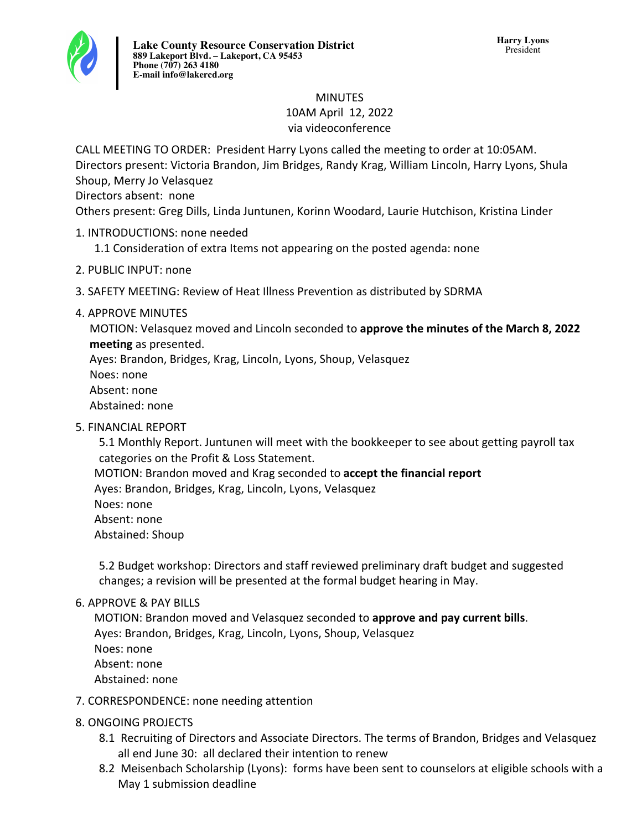

#### MINUTES 10AM April 12, 2022 via videoconference

CALL MEETING TO ORDER: President Harry Lyons called the meeting to order at 10:05AM. Directors present: Victoria Brandon, Jim Bridges, Randy Krag, William Lincoln, Harry Lyons, Shula Shoup, Merry Jo Velasquez

Directors absent: none

Others present: Greg Dills, Linda Juntunen, Korinn Woodard, Laurie Hutchison, Kristina Linder

- 1. INTRODUCTIONS: none needed
	- 1.1 Consideration of extra Items not appearing on the posted agenda: none
- 2. PUBLIC INPUT: none
- 3. SAFETY MEETING: Review of Heat Illness Prevention as distributed by SDRMA
- 4. APPROVE MINUTES

MOTION: Velasquez moved and Lincoln seconded to **approve the minutes of the March 8, 2022 meeting** as presented.

Ayes: Brandon, Bridges, Krag, Lincoln, Lyons, Shoup, Velasquez

Noes: none

Absent: none

Abstained: none

**5. FINANCIAL REPORT** 

5.1 Monthly Report. Juntunen will meet with the bookkeeper to see about getting payroll tax categories on the Profit & Loss Statement.

MOTION: Brandon moved and Krag seconded to **accept the financial report** 

Ayes: Brandon, Bridges, Krag, Lincoln, Lyons, Velasquez

- Noes: none
- Absent: none

Abstained: Shoup

5.2 Budget workshop: Directors and staff reviewed preliminary draft budget and suggested changes; a revision will be presented at the formal budget hearing in May.

# 6. APPROVE & PAY BILLS

MOTION: Brandon moved and Velasquez seconded to approve and pay current bills. Ayes: Brandon, Bridges, Krag, Lincoln, Lyons, Shoup, Velasquez Noes: none Absent: none Abstained: none

# 7. CORRESPONDENCE: none needing attention

# 8. ONGOING PROJECTS

- 8.1 Recruiting of Directors and Associate Directors. The terms of Brandon, Bridges and Velasquez all end June 30: all declared their intention to renew
- 8.2 Meisenbach Scholarship (Lyons): forms have been sent to counselors at eligible schools with a May 1 submission deadline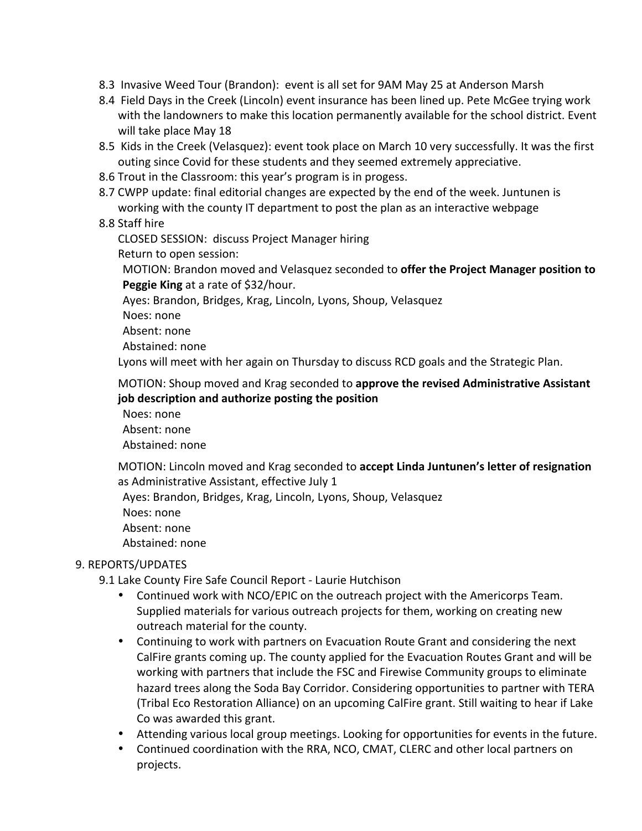- 8.3 Invasive Weed Tour (Brandon): event is all set for 9AM May 25 at Anderson Marsh
- 8.4 Field Days in the Creek (Lincoln) event insurance has been lined up. Pete McGee trying work with the landowners to make this location permanently available for the school district. Event will take place May 18
- 8.5 Kids in the Creek (Velasquez): event took place on March 10 very successfully. It was the first outing since Covid for these students and they seemed extremely appreciative.
- 8.6 Trout in the Classroom: this year's program is in progess.
- 8.7 CWPP update: final editorial changes are expected by the end of the week. Juntunen is working with the county IT department to post the plan as an interactive webpage

#### 8.8 Staff hire

CLOSED SESSION: discuss Project Manager hiring

Return to open session:

MOTION: Brandon moved and Velasquez seconded to **offer the Project Manager position to Peggie King** at a rate of \$32/hour.

Ayes: Brandon, Bridges, Krag, Lincoln, Lyons, Shoup, Velasquez

Noes: none

Absent: none

Abstained: none

Lyons will meet with her again on Thursday to discuss RCD goals and the Strategic Plan.

MOTION: Shoup moved and Krag seconded to **approve the revised Administrative Assistant job description and authorize posting the position**

Noes: none Absent: none Abstained: none

MOTION: Lincoln moved and Krag seconded to accept Linda Juntunen's letter of resignation as Administrative Assistant, effective July 1

Ayes: Brandon, Bridges, Krag, Lincoln, Lyons, Shoup, Velasquez

Noes: none

Absent: none

Abstained: none

#### 9. REPORTS/UPDATES

9.1 Lake County Fire Safe Council Report - Laurie Hutchison

- Continued work with NCO/EPIC on the outreach project with the Americorps Team. Supplied materials for various outreach projects for them, working on creating new outreach material for the county.
- Continuing to work with partners on Evacuation Route Grant and considering the next CalFire grants coming up. The county applied for the Evacuation Routes Grant and will be working with partners that include the FSC and Firewise Community groups to eliminate hazard trees along the Soda Bay Corridor. Considering opportunities to partner with TERA (Tribal Eco Restoration Alliance) on an upcoming CalFire grant. Still waiting to hear if Lake Co was awarded this grant.
- Attending various local group meetings. Looking for opportunities for events in the future.
- Continued coordination with the RRA, NCO, CMAT, CLERC and other local partners on projects.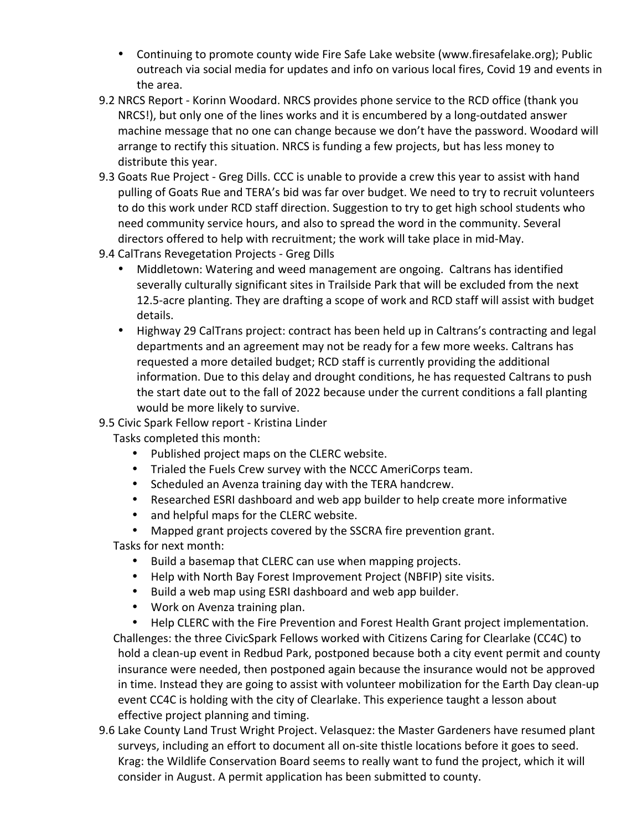- Continuing to promote county wide Fire Safe Lake website (www.firesafelake.org); Public outreach via social media for updates and info on various local fires, Covid 19 and events in the area.
- 9.2 NRCS Report Korinn Woodard. NRCS provides phone service to the RCD office (thank you NRCS!), but only one of the lines works and it is encumbered by a long-outdated answer machine message that no one can change because we don't have the password. Woodard will arrange to rectify this situation. NRCS is funding a few projects, but has less money to distribute this year.
- 9.3 Goats Rue Project Greg Dills. CCC is unable to provide a crew this year to assist with hand pulling of Goats Rue and TERA's bid was far over budget. We need to try to recruit volunteers to do this work under RCD staff direction. Suggestion to try to get high school students who need community service hours, and also to spread the word in the community. Several directors offered to help with recruitment; the work will take place in mid-May.
- 9.4 CalTrans Revegetation Projects Greg Dills
	- Middletown: Watering and weed management are ongoing. Caltrans has identified severally culturally significant sites in Trailside Park that will be excluded from the next 12.5-acre planting. They are drafting a scope of work and RCD staff will assist with budget details.
	- Highway 29 CalTrans project: contract has been held up in Caltrans's contracting and legal departments and an agreement may not be ready for a few more weeks. Caltrans has requested a more detailed budget; RCD staff is currently providing the additional information. Due to this delay and drought conditions, he has requested Caltrans to push the start date out to the fall of 2022 because under the current conditions a fall planting would be more likely to survive.

#### 9.5 Civic Spark Fellow report - Kristina Linder

Tasks completed this month:

- Published project maps on the CLERC website.
- Trialed the Fuels Crew survey with the NCCC AmeriCorps team.
- Scheduled an Avenza training day with the TERA handcrew.
- Researched ESRI dashboard and web app builder to help create more informative
- and helpful maps for the CLERC website.
- Mapped grant projects covered by the SSCRA fire prevention grant.

Tasks for next month:

- Build a basemap that CLERC can use when mapping projects.
- Help with North Bay Forest Improvement Project (NBFIP) site visits.
- Build a web map using ESRI dashboard and web app builder.
- Work on Avenza training plan.
- Help CLERC with the Fire Prevention and Forest Health Grant project implementation. Challenges: the three CivicSpark Fellows worked with Citizens Caring for Clearlake (CC4C) to hold a clean-up event in Redbud Park, postponed because both a city event permit and county insurance were needed, then postponed again because the insurance would not be approved in time. Instead they are going to assist with volunteer mobilization for the Earth Day clean-up event CC4C is holding with the city of Clearlake. This experience taught a lesson about effective project planning and timing.
- 9.6 Lake County Land Trust Wright Project. Velasquez: the Master Gardeners have resumed plant surveys, including an effort to document all on-site thistle locations before it goes to seed. Krag: the Wildlife Conservation Board seems to really want to fund the project, which it will consider in August. A permit application has been submitted to county.